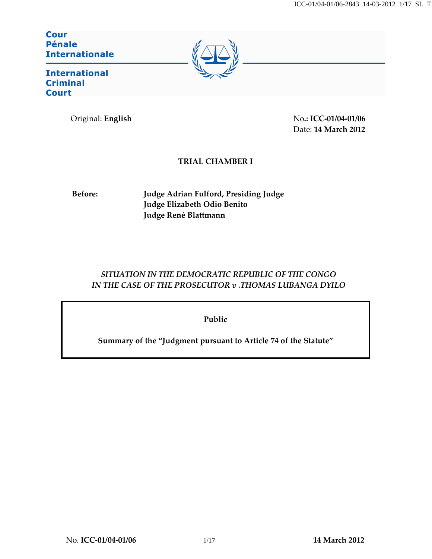**Cour Pénale Internationale** 



**International Criminal Court** 

Original: English No.: ICC-01/04-01/06 Date: 14 March 2012

## TRIAL CHAMBER I

Before: Judge Adrian Fulford, Presiding Judge Judge Elizabeth Odio Benito Judge René Blattmann

# SITUATION IN THE DEMOCRATIC REPUBLIC OF THE CONGO IN THE CASE OF THE PROSECUTOR v .THOMAS LUBANGA DYILO

Public

Summary of the "Judgment pursuant to Article 74 of the Statute"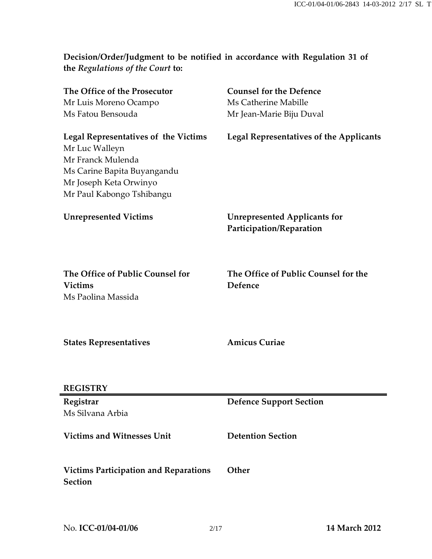Decision/Order/Judgment to be notified in accordance with Regulation 31 of the Regulations of the Court to:

| The Office of the Prosecutor                                                                                                                                             | <b>Counsel for the Defence</b>                                  |
|--------------------------------------------------------------------------------------------------------------------------------------------------------------------------|-----------------------------------------------------------------|
| Mr Luis Moreno Ocampo                                                                                                                                                    | Ms Catherine Mabille                                            |
| Ms Fatou Bensouda                                                                                                                                                        | Mr Jean-Marie Biju Duval                                        |
| <b>Legal Representatives of the Victims</b><br>Mr Luc Walleyn<br>Mr Franck Mulenda<br>Ms Carine Bapita Buyangandu<br>Mr Joseph Keta Orwinyo<br>Mr Paul Kabongo Tshibangu | <b>Legal Representatives of the Applicants</b>                  |
| <b>Unrepresented Victims</b>                                                                                                                                             | <b>Unrepresented Applicants for</b><br>Participation/Reparation |
| The Office of Public Counsel for<br><b>Victims</b><br>Ms Paolina Massida                                                                                                 | The Office of Public Counsel for the<br>Defence                 |
| <b>States Representatives</b>                                                                                                                                            | <b>Amicus Curiae</b>                                            |
| <b>REGISTRY</b>                                                                                                                                                          |                                                                 |
| Registrar                                                                                                                                                                | <b>Defence Support Section</b>                                  |
| Ms Silvana Arbia                                                                                                                                                         |                                                                 |
| <b>Victims and Witnesses Unit</b>                                                                                                                                        | <b>Detention Section</b>                                        |
| <b>Victims Participation and Reparations</b><br><b>Section</b>                                                                                                           | Other                                                           |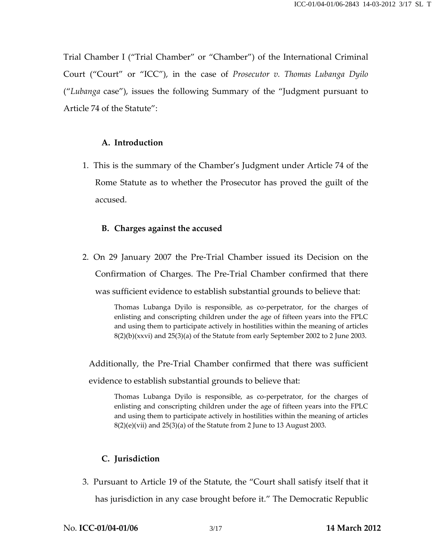Trial Chamber I ("Trial Chamber" or "Chamber") of the International Criminal Court ("Court" or "ICC"), in the case of Prosecutor v. Thomas Lubanga Dyilo ("Lubanga case"), issues the following Summary of the "Judgment pursuant to Article 74 of the Statute":

### A. Introduction

1. This is the summary of the Chamber's Judgment under Article 74 of the Rome Statute as to whether the Prosecutor has proved the guilt of the accused.

#### B. Charges against the accused

2. On 29 January 2007 the Pre-Trial Chamber issued its Decision on the Confirmation of Charges. The Pre-Trial Chamber confirmed that there was sufficient evidence to establish substantial grounds to believe that:

> Thomas Lubanga Dyilo is responsible, as co-perpetrator, for the charges of enlisting and conscripting children under the age of fifteen years into the FPLC and using them to participate actively in hostilities within the meaning of articles  $8(2)(b)(xxx)$  and  $25(3)(a)$  of the Statute from early September 2002 to 2 June 2003.

Additionally, the Pre-Trial Chamber confirmed that there was sufficient evidence to establish substantial grounds to believe that:

Thomas Lubanga Dyilo is responsible, as co-perpetrator, for the charges of enlisting and conscripting children under the age of fifteen years into the FPLC and using them to participate actively in hostilities within the meaning of articles  $8(2)(e)(vi)$  and  $25(3)(a)$  of the Statute from 2 June to 13 August 2003.

## C. Jurisdiction

3. Pursuant to Article 19 of the Statute, the "Court shall satisfy itself that it has jurisdiction in any case brought before it." The Democratic Republic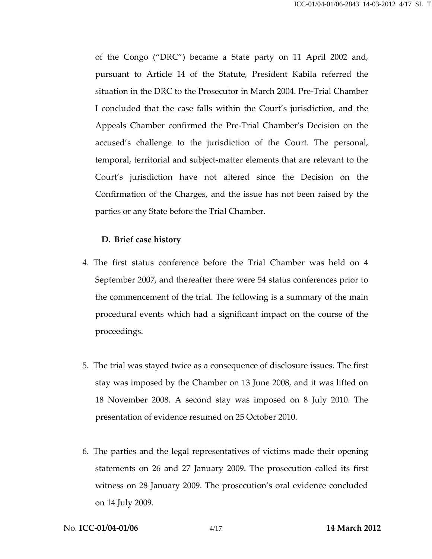of the Congo ("DRC") became a State party on 11 April 2002 and, pursuant to Article 14 of the Statute, President Kabila referred the situation in the DRC to the Prosecutor in March 2004. Pre-Trial Chamber I concluded that the case falls within the Court's jurisdiction, and the Appeals Chamber confirmed the Pre-Trial Chamber's Decision on the accused's challenge to the jurisdiction of the Court. The personal, temporal, territorial and subject-matter elements that are relevant to the Court's jurisdiction have not altered since the Decision on the Confirmation of the Charges, and the issue has not been raised by the parties or any State before the Trial Chamber.

#### D. Brief case history

- 4. The first status conference before the Trial Chamber was held on 4 September 2007, and thereafter there were 54 status conferences prior to the commencement of the trial. The following is a summary of the main procedural events which had a significant impact on the course of the proceedings.
- 5. The trial was stayed twice as a consequence of disclosure issues. The first stay was imposed by the Chamber on 13 June 2008, and it was lifted on 18 November 2008. A second stay was imposed on 8 July 2010. The presentation of evidence resumed on 25 October 2010.
- 6. The parties and the legal representatives of victims made their opening statements on 26 and 27 January 2009. The prosecution called its first witness on 28 January 2009. The prosecution's oral evidence concluded on 14 July 2009.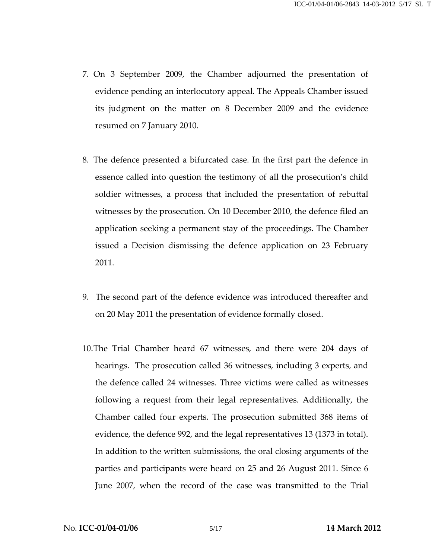- 7. On 3 September 2009, the Chamber adjourned the presentation of evidence pending an interlocutory appeal. The Appeals Chamber issued its judgment on the matter on 8 December 2009 and the evidence resumed on 7 January 2010.
- 8. The defence presented a bifurcated case. In the first part the defence in essence called into question the testimony of all the prosecution's child soldier witnesses, a process that included the presentation of rebuttal witnesses by the prosecution. On 10 December 2010, the defence filed an application seeking a permanent stay of the proceedings. The Chamber issued a Decision dismissing the defence application on 23 February 2011.
- 9. The second part of the defence evidence was introduced thereafter and on 20 May 2011 the presentation of evidence formally closed.
- 10.The Trial Chamber heard 67 witnesses, and there were 204 days of hearings. The prosecution called 36 witnesses, including 3 experts, and the defence called 24 witnesses. Three victims were called as witnesses following a request from their legal representatives. Additionally, the Chamber called four experts. The prosecution submitted 368 items of evidence, the defence 992, and the legal representatives 13 (1373 in total). In addition to the written submissions, the oral closing arguments of the parties and participants were heard on 25 and 26 August 2011. Since 6 June 2007, when the record of the case was transmitted to the Trial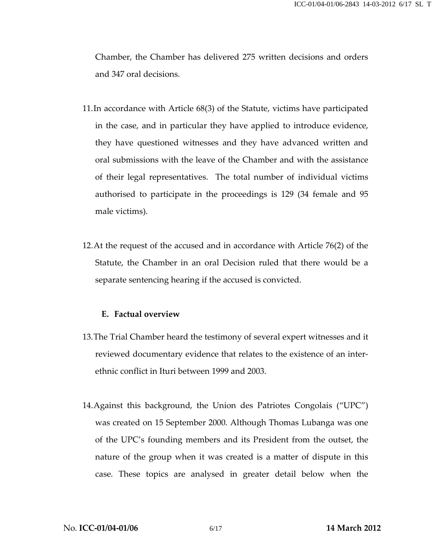Chamber, the Chamber has delivered 275 written decisions and orders and 347 oral decisions.

- 11.In accordance with Article 68(3) of the Statute, victims have participated in the case, and in particular they have applied to introduce evidence, they have questioned witnesses and they have advanced written and oral submissions with the leave of the Chamber and with the assistance of their legal representatives. The total number of individual victims authorised to participate in the proceedings is 129 (34 female and 95 male victims).
- 12.At the request of the accused and in accordance with Article 76(2) of the Statute, the Chamber in an oral Decision ruled that there would be a separate sentencing hearing if the accused is convicted.

### E. Factual overview

- 13.The Trial Chamber heard the testimony of several expert witnesses and it reviewed documentary evidence that relates to the existence of an interethnic conflict in Ituri between 1999 and 2003.
- 14.Against this background, the Union des Patriotes Congolais ("UPC") was created on 15 September 2000. Although Thomas Lubanga was one of the UPC's founding members and its President from the outset, the nature of the group when it was created is a matter of dispute in this case. These topics are analysed in greater detail below when the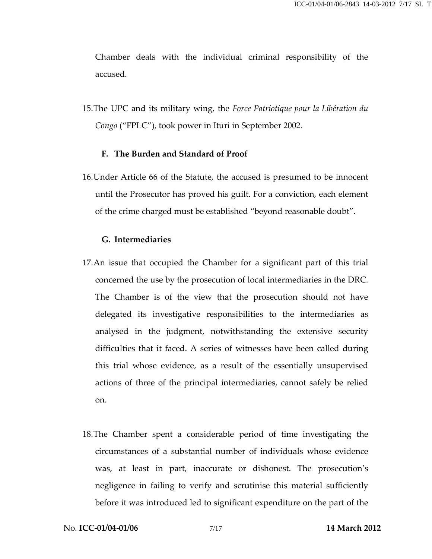Chamber deals with the individual criminal responsibility of the accused.

15.The UPC and its military wing, the Force Patriotique pour la Libération du Congo ("FPLC"), took power in Ituri in September 2002.

#### F. The Burden and Standard of Proof

16.Under Article 66 of the Statute, the accused is presumed to be innocent until the Prosecutor has proved his guilt. For a conviction, each element of the crime charged must be established "beyond reasonable doubt".

#### G. Intermediaries

- 17.An issue that occupied the Chamber for a significant part of this trial concerned the use by the prosecution of local intermediaries in the DRC. The Chamber is of the view that the prosecution should not have delegated its investigative responsibilities to the intermediaries as analysed in the judgment, notwithstanding the extensive security difficulties that it faced. A series of witnesses have been called during this trial whose evidence, as a result of the essentially unsupervised actions of three of the principal intermediaries, cannot safely be relied on.
- 18.The Chamber spent a considerable period of time investigating the circumstances of a substantial number of individuals whose evidence was, at least in part, inaccurate or dishonest. The prosecution's negligence in failing to verify and scrutinise this material sufficiently before it was introduced led to significant expenditure on the part of the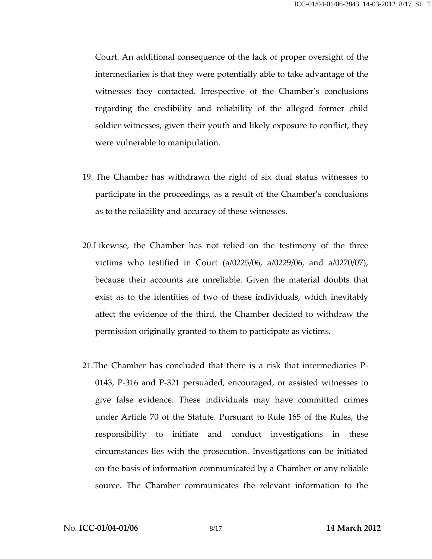Court. An additional consequence of the lack of proper oversight of the intermediaries is that they were potentially able to take advantage of the witnesses they contacted. Irrespective of the Chamber's conclusions regarding the credibility and reliability of the alleged former child soldier witnesses, given their youth and likely exposure to conflict, they were vulnerable to manipulation.

- 19. The Chamber has withdrawn the right of six dual status witnesses to participate in the proceedings, as a result of the Chamber's conclusions as to the reliability and accuracy of these witnesses.
- 20.Likewise, the Chamber has not relied on the testimony of the three victims who testified in Court (a/0225/06, a/0229/06, and a/0270/07), because their accounts are unreliable. Given the material doubts that exist as to the identities of two of these individuals, which inevitably affect the evidence of the third, the Chamber decided to withdraw the permission originally granted to them to participate as victims.
- 21.The Chamber has concluded that there is a risk that intermediaries P-0143, P-316 and P-321 persuaded, encouraged, or assisted witnesses to give false evidence. These individuals may have committed crimes under Article 70 of the Statute. Pursuant to Rule 165 of the Rules, the responsibility to initiate and conduct investigations in these circumstances lies with the prosecution. Investigations can be initiated on the basis of information communicated by a Chamber or any reliable source. The Chamber communicates the relevant information to the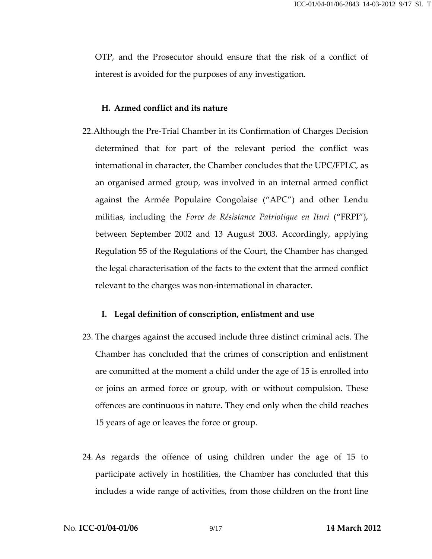OTP, and the Prosecutor should ensure that the risk of a conflict of interest is avoided for the purposes of any investigation.

## H. Armed conflict and its nature

22.Although the Pre-Trial Chamber in its Confirmation of Charges Decision determined that for part of the relevant period the conflict was international in character, the Chamber concludes that the UPC/FPLC, as an organised armed group, was involved in an internal armed conflict against the Armée Populaire Congolaise ("APC") and other Lendu militias, including the Force de Résistance Patriotique en Ituri ("FRPI"), between September 2002 and 13 August 2003. Accordingly, applying Regulation 55 of the Regulations of the Court, the Chamber has changed the legal characterisation of the facts to the extent that the armed conflict relevant to the charges was non-international in character.

### I. Legal definition of conscription, enlistment and use

- 23. The charges against the accused include three distinct criminal acts. The Chamber has concluded that the crimes of conscription and enlistment are committed at the moment a child under the age of 15 is enrolled into or joins an armed force or group, with or without compulsion. These offences are continuous in nature. They end only when the child reaches 15 years of age or leaves the force or group.
- 24. As regards the offence of using children under the age of 15 to participate actively in hostilities, the Chamber has concluded that this includes a wide range of activities, from those children on the front line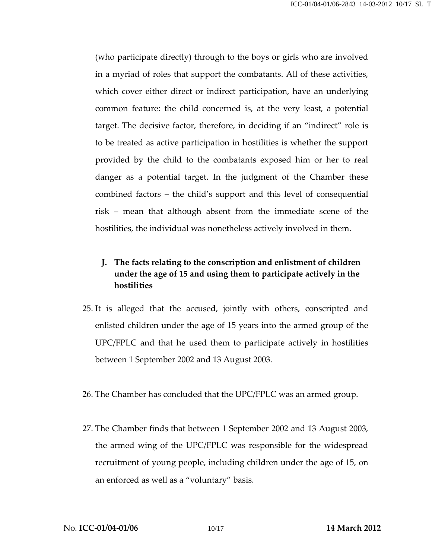(who participate directly) through to the boys or girls who are involved in a myriad of roles that support the combatants. All of these activities, which cover either direct or indirect participation, have an underlying common feature: the child concerned is, at the very least, a potential target. The decisive factor, therefore, in deciding if an "indirect" role is to be treated as active participation in hostilities is whether the support provided by the child to the combatants exposed him or her to real danger as a potential target. In the judgment of the Chamber these combined factors – the child's support and this level of consequential risk – mean that although absent from the immediate scene of the hostilities, the individual was nonetheless actively involved in them.

## J. The facts relating to the conscription and enlistment of children under the age of 15 and using them to participate actively in the hostilities

- 25. It is alleged that the accused, jointly with others, conscripted and enlisted children under the age of 15 years into the armed group of the UPC/FPLC and that he used them to participate actively in hostilities between 1 September 2002 and 13 August 2003.
- 26. The Chamber has concluded that the UPC/FPLC was an armed group.
- 27. The Chamber finds that between 1 September 2002 and 13 August 2003, the armed wing of the UPC/FPLC was responsible for the widespread recruitment of young people, including children under the age of 15, on an enforced as well as a "voluntary" basis.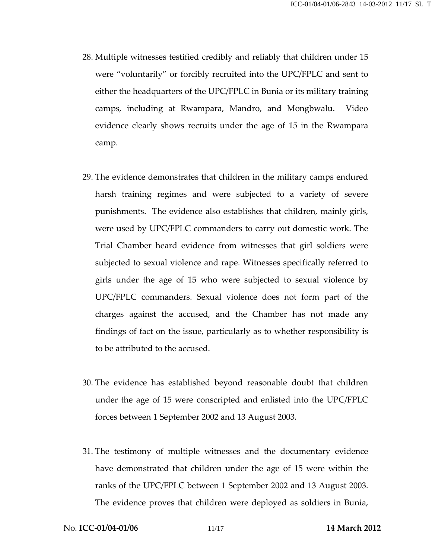- 28. Multiple witnesses testified credibly and reliably that children under 15 were "voluntarily" or forcibly recruited into the UPC/FPLC and sent to either the headquarters of the UPC/FPLC in Bunia or its military training camps, including at Rwampara, Mandro, and Mongbwalu. Video evidence clearly shows recruits under the age of 15 in the Rwampara camp.
- 29. The evidence demonstrates that children in the military camps endured harsh training regimes and were subjected to a variety of severe punishments. The evidence also establishes that children, mainly girls, were used by UPC/FPLC commanders to carry out domestic work. The Trial Chamber heard evidence from witnesses that girl soldiers were subjected to sexual violence and rape. Witnesses specifically referred to girls under the age of 15 who were subjected to sexual violence by UPC/FPLC commanders. Sexual violence does not form part of the charges against the accused, and the Chamber has not made any findings of fact on the issue, particularly as to whether responsibility is to be attributed to the accused.
- 30. The evidence has established beyond reasonable doubt that children under the age of 15 were conscripted and enlisted into the UPC/FPLC forces between 1 September 2002 and 13 August 2003.
- 31. The testimony of multiple witnesses and the documentary evidence have demonstrated that children under the age of 15 were within the ranks of the UPC/FPLC between 1 September 2002 and 13 August 2003. The evidence proves that children were deployed as soldiers in Bunia,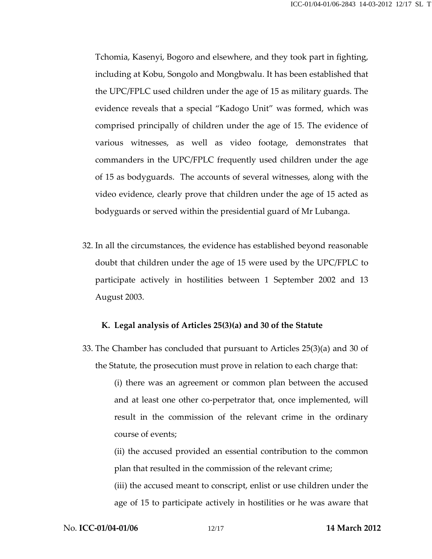Tchomia, Kasenyi, Bogoro and elsewhere, and they took part in fighting, including at Kobu, Songolo and Mongbwalu. It has been established that the UPC/FPLC used children under the age of 15 as military guards. The evidence reveals that a special "Kadogo Unit" was formed, which was comprised principally of children under the age of 15. The evidence of various witnesses, as well as video footage, demonstrates that commanders in the UPC/FPLC frequently used children under the age of 15 as bodyguards. The accounts of several witnesses, along with the video evidence, clearly prove that children under the age of 15 acted as bodyguards or served within the presidential guard of Mr Lubanga.

32. In all the circumstances, the evidence has established beyond reasonable doubt that children under the age of 15 were used by the UPC/FPLC to participate actively in hostilities between 1 September 2002 and 13 August 2003.

#### K. Legal analysis of Articles 25(3)(a) and 30 of the Statute

33. The Chamber has concluded that pursuant to Articles 25(3)(a) and 30 of the Statute, the prosecution must prove in relation to each charge that:

> (i) there was an agreement or common plan between the accused and at least one other co-perpetrator that, once implemented, will result in the commission of the relevant crime in the ordinary course of events;

> (ii) the accused provided an essential contribution to the common plan that resulted in the commission of the relevant crime;

> (iii) the accused meant to conscript, enlist or use children under the age of 15 to participate actively in hostilities or he was aware that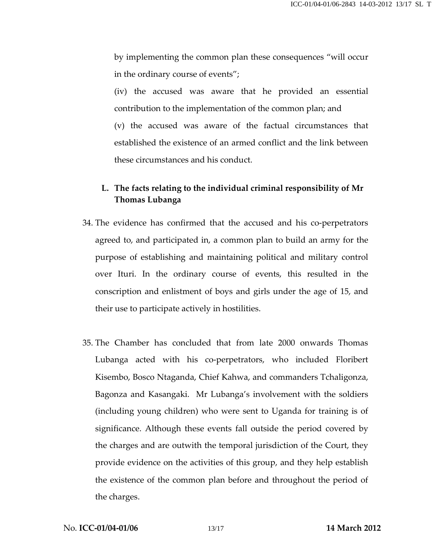by implementing the common plan these consequences "will occur in the ordinary course of events";

(iv) the accused was aware that he provided an essential contribution to the implementation of the common plan; and (v) the accused was aware of the factual circumstances that established the existence of an armed conflict and the link between these circumstances and his conduct.

## L. The facts relating to the individual criminal responsibility of Mr Thomas Lubanga

- 34. The evidence has confirmed that the accused and his co-perpetrators agreed to, and participated in, a common plan to build an army for the purpose of establishing and maintaining political and military control over Ituri. In the ordinary course of events, this resulted in the conscription and enlistment of boys and girls under the age of 15, and their use to participate actively in hostilities.
- 35. The Chamber has concluded that from late 2000 onwards Thomas Lubanga acted with his co-perpetrators, who included Floribert Kisembo, Bosco Ntaganda, Chief Kahwa, and commanders Tchaligonza, Bagonza and Kasangaki. Mr Lubanga's involvement with the soldiers (including young children) who were sent to Uganda for training is of significance. Although these events fall outside the period covered by the charges and are outwith the temporal jurisdiction of the Court, they provide evidence on the activities of this group, and they help establish the existence of the common plan before and throughout the period of the charges.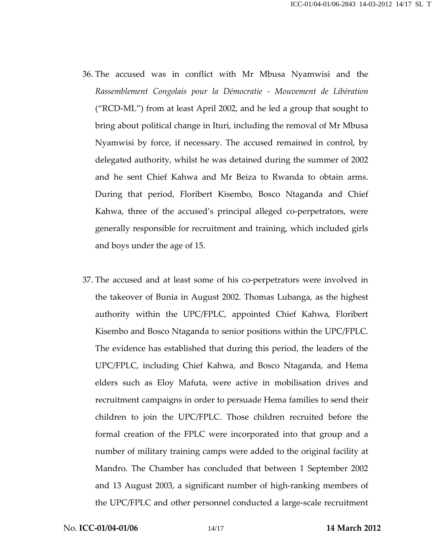- 36. The accused was in conflict with Mr Mbusa Nyamwisi and the Rassemblement Congolais pour la Démocratie - Mouvement de Libération ("RCD-ML") from at least April 2002, and he led a group that sought to bring about political change in Ituri, including the removal of Mr Mbusa Nyamwisi by force, if necessary. The accused remained in control, by delegated authority, whilst he was detained during the summer of 2002 and he sent Chief Kahwa and Mr Beiza to Rwanda to obtain arms. During that period, Floribert Kisembo, Bosco Ntaganda and Chief Kahwa, three of the accused's principal alleged co-perpetrators, were generally responsible for recruitment and training, which included girls and boys under the age of 15.
- 37. The accused and at least some of his co-perpetrators were involved in the takeover of Bunia in August 2002. Thomas Lubanga, as the highest authority within the UPC/FPLC, appointed Chief Kahwa, Floribert Kisembo and Bosco Ntaganda to senior positions within the UPC/FPLC. The evidence has established that during this period, the leaders of the UPC/FPLC, including Chief Kahwa, and Bosco Ntaganda, and Hema elders such as Eloy Mafuta, were active in mobilisation drives and recruitment campaigns in order to persuade Hema families to send their children to join the UPC/FPLC. Those children recruited before the formal creation of the FPLC were incorporated into that group and a number of military training camps were added to the original facility at Mandro. The Chamber has concluded that between 1 September 2002 and 13 August 2003, a significant number of high-ranking members of the UPC/FPLC and other personnel conducted a large-scale recruitment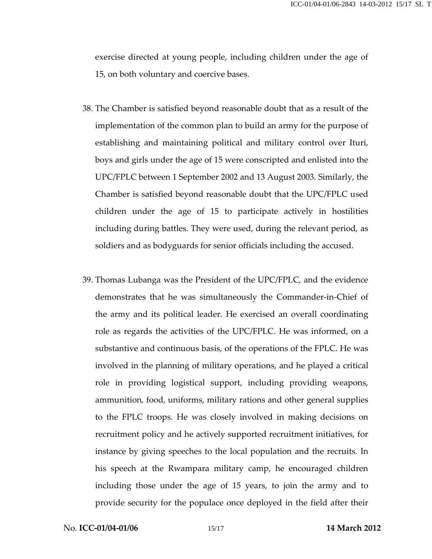exercise directed at young people, including children under the age of 15, on both voluntary and coercive bases.

- 38. The Chamber is satisfied beyond reasonable doubt that as a result of the implementation of the common plan to build an army for the purpose of establishing and maintaining political and military control over Ituri, boys and girls under the age of 15 were conscripted and enlisted into the UPC/FPLC between 1 September 2002 and 13 August 2003. Similarly, the Chamber is satisfied beyond reasonable doubt that the UPC/FPLC used children under the age of 15 to participate actively in hostilities including during battles. They were used, during the relevant period, as soldiers and as bodyguards for senior officials including the accused.
- 39. Thomas Lubanga was the President of the UPC/FPLC, and the evidence demonstrates that he was simultaneously the Commander-in-Chief of the army and its political leader. He exercised an overall coordinating role as regards the activities of the UPC/FPLC. He was informed, on a substantive and continuous basis, of the operations of the FPLC. He was involved in the planning of military operations, and he played a critical role in providing logistical support, including providing weapons, ammunition, food, uniforms, military rations and other general supplies to the FPLC troops. He was closely involved in making decisions on recruitment policy and he actively supported recruitment initiatives, for instance by giving speeches to the local population and the recruits. In his speech at the Rwampara military camp, he encouraged children including those under the age of 15 years, to join the army and to provide security for the populace once deployed in the field after their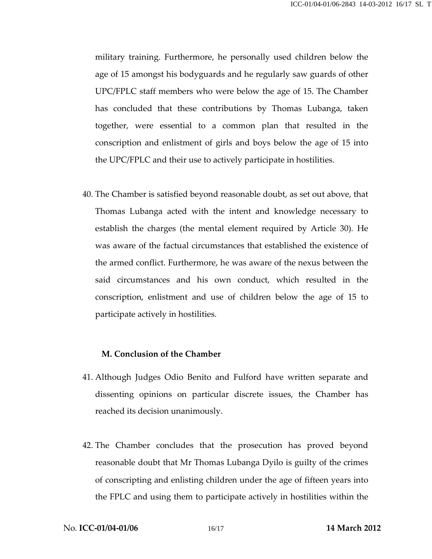military training. Furthermore, he personally used children below the age of 15 amongst his bodyguards and he regularly saw guards of other UPC/FPLC staff members who were below the age of 15. The Chamber has concluded that these contributions by Thomas Lubanga, taken together, were essential to a common plan that resulted in the conscription and enlistment of girls and boys below the age of 15 into the UPC/FPLC and their use to actively participate in hostilities.

40. The Chamber is satisfied beyond reasonable doubt, as set out above, that Thomas Lubanga acted with the intent and knowledge necessary to establish the charges (the mental element required by Article 30). He was aware of the factual circumstances that established the existence of the armed conflict. Furthermore, he was aware of the nexus between the said circumstances and his own conduct, which resulted in the conscription, enlistment and use of children below the age of 15 to participate actively in hostilities.

### M. Conclusion of the Chamber

- 41. Although Judges Odio Benito and Fulford have written separate and dissenting opinions on particular discrete issues, the Chamber has reached its decision unanimously.
- 42. The Chamber concludes that the prosecution has proved beyond reasonable doubt that Mr Thomas Lubanga Dyilo is guilty of the crimes of conscripting and enlisting children under the age of fifteen years into the FPLC and using them to participate actively in hostilities within the